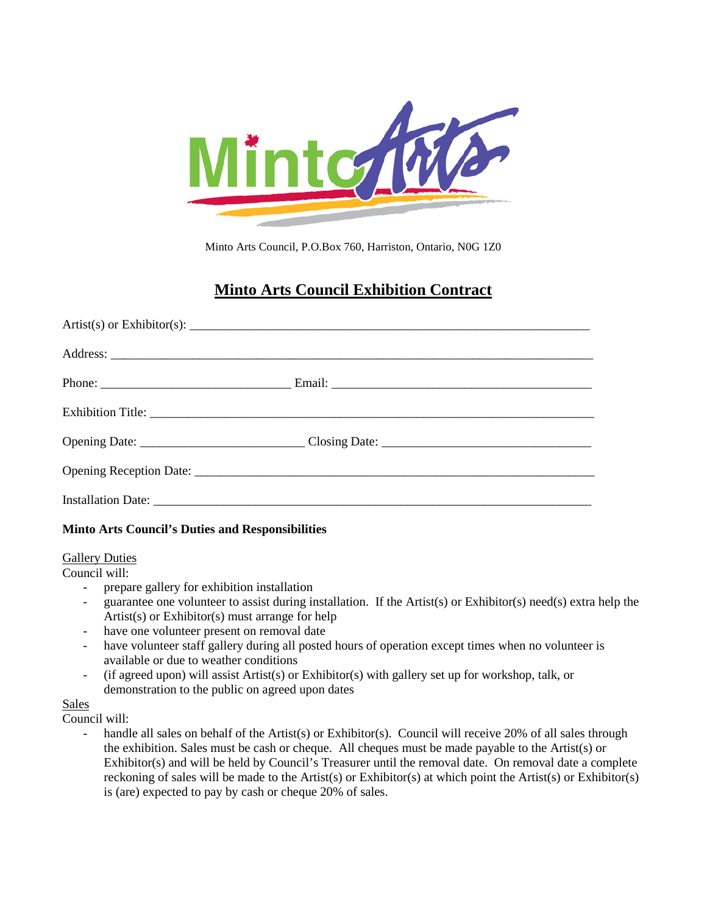

Minto Arts Council, P.O.Box 760, Harriston, Ontario, N0G 1Z0

# **Minto Arts Council Exhibition Contract**

#### **Minto Arts Council's Duties and Responsibilities**

#### **Gallery Duties**

Council will:

- prepare gallery for exhibition installation
- guarantee one volunteer to assist during installation. If the Artist(s) or Exhibitor(s) need(s) extra help the Artist(s) or Exhibitor(s) must arrange for help
- have one volunteer present on removal date
- have volunteer staff gallery during all posted hours of operation except times when no volunteer is available or due to weather conditions
- (if agreed upon) will assist Artist(s) or Exhibitor(s) with gallery set up for workshop, talk, or demonstration to the public on agreed upon dates

#### Sales

Council will:

handle all sales on behalf of the Artist(s) or Exhibitor(s). Council will receive 20% of all sales through the exhibition. Sales must be cash or cheque. All cheques must be made payable to the Artist(s) or Exhibitor(s) and will be held by Council's Treasurer until the removal date. On removal date a complete reckoning of sales will be made to the Artist(s) or Exhibitor(s) at which point the Artist(s) or Exhibitor(s) is (are) expected to pay by cash or cheque 20% of sales.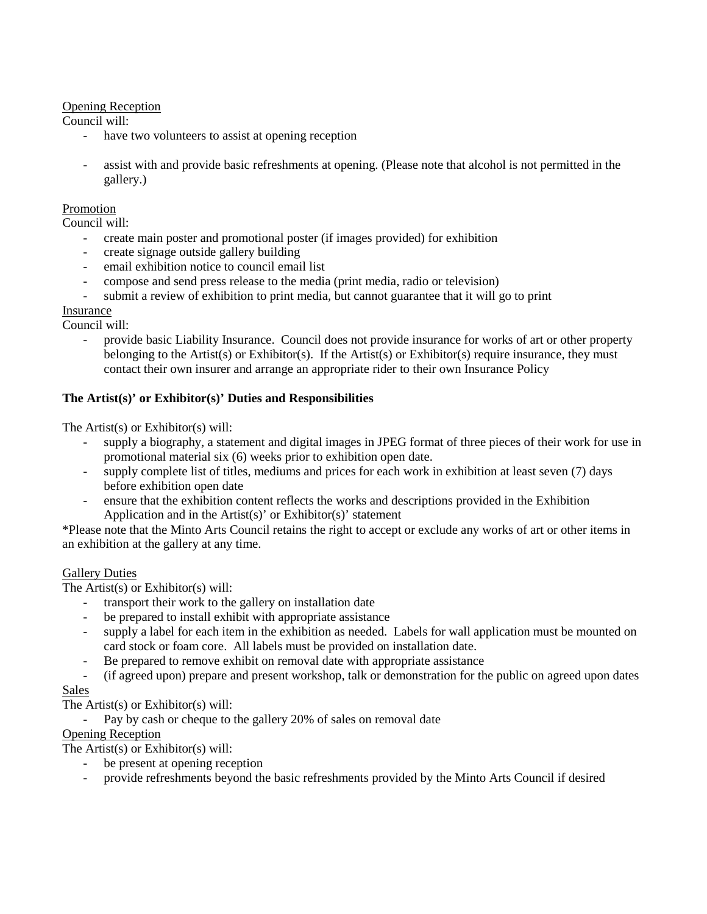# Opening Reception

Council will:

- have two volunteers to assist at opening reception
- assist with and provide basic refreshments at opening. (Please note that alcohol is not permitted in the gallery.)

#### Promotion

Council will:

- create main poster and promotional poster (if images provided) for exhibition
- create signage outside gallery building
- email exhibition notice to council email list
- compose and send press release to the media (print media, radio or television)
- submit a review of exhibition to print media, but cannot guarantee that it will go to print

# Insurance

Council will:

- provide basic Liability Insurance. Council does not provide insurance for works of art or other property belonging to the Artist(s) or Exhibitor(s). If the Artist(s) or Exhibitor(s) require insurance, they must contact their own insurer and arrange an appropriate rider to their own Insurance Policy

# **The Artist(s)' or Exhibitor(s)' Duties and Responsibilities**

The Artist(s) or Exhibitor(s) will:

- supply a biography, a statement and digital images in JPEG format of three pieces of their work for use in promotional material six (6) weeks prior to exhibition open date.
- supply complete list of titles, mediums and prices for each work in exhibition at least seven (7) days before exhibition open date
- ensure that the exhibition content reflects the works and descriptions provided in the Exhibition Application and in the Artist(s)' or Exhibitor(s)' statement

\*Please note that the Minto Arts Council retains the right to accept or exclude any works of art or other items in an exhibition at the gallery at any time.

#### Gallery Duties

The Artist(s) or Exhibitor(s) will:

- transport their work to the gallery on installation date
- be prepared to install exhibit with appropriate assistance
- supply a label for each item in the exhibition as needed. Labels for wall application must be mounted on card stock or foam core. All labels must be provided on installation date.
- Be prepared to remove exhibit on removal date with appropriate assistance
- (if agreed upon) prepare and present workshop, talk or demonstration for the public on agreed upon dates Sales

The Artist(s) or Exhibitor(s) will:

Pay by cash or cheque to the gallery 20% of sales on removal date

# Opening Reception

The Artist(s) or Exhibitor(s) will:

- be present at opening reception
- provide refreshments beyond the basic refreshments provided by the Minto Arts Council if desired